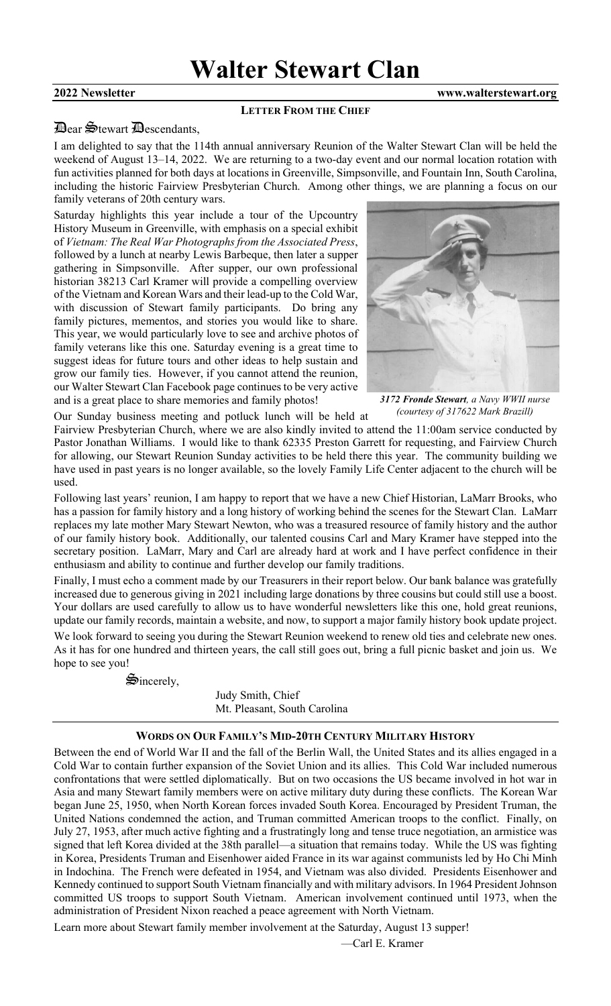## **2022 Newsletter www.walterstewart.org**

#### **LETTER FROM THE CHIEF**

## Dear Stewart Descendants,

I am delighted to say that the 114th annual anniversary Reunion of the Walter Stewart Clan will be held the weekend of August 13–14, 2022. We are returning to a two-day event and our normal location rotation with fun activities planned for both days at locations in Greenville, Simpsonville, and Fountain Inn, South Carolina, including the historic Fairview Presbyterian Church. Among other things, we are planning a focus on our family veterans of 20th century wars.

Saturday highlights this year include a tour of the Upcountry History Museum in Greenville, with emphasis on a special exhibit of *Vietnam: The Real War Photographs from the Associated Press*, followed by a lunch at nearby Lewis Barbeque, then later a supper gathering in Simpsonville. After supper, our own professional historian 38213 Carl Kramer will provide a compelling overview of the Vietnam and Korean Wars and their lead-up to the Cold War, with discussion of Stewart family participants. Do bring any family pictures, mementos, and stories you would like to share. This year, we would particularly love to see and archive photos of family veterans like this one. Saturday evening is a great time to suggest ideas for future tours and other ideas to help sustain and grow our family ties. However, if you cannot attend the reunion, our Walter Stewart Clan Facebook page continues to be very active and is a great place to share memories and family photos!



*3172 Fronde Stewart, a Navy WWII nurse (courtesy of 317622 Mark Brazill)*

Our Sunday business meeting and potluck lunch will be held at

Fairview Presbyterian Church, where we are also kindly invited to attend the 11:00am service conducted by Pastor Jonathan Williams. I would like to thank 62335 Preston Garrett for requesting, and Fairview Church for allowing, our Stewart Reunion Sunday activities to be held there this year. The community building we have used in past years is no longer available, so the lovely Family Life Center adjacent to the church will be used.

Following last years' reunion, I am happy to report that we have a new Chief Historian, LaMarr Brooks, who has a passion for family history and a long history of working behind the scenes for the Stewart Clan. LaMarr replaces my late mother Mary Stewart Newton, who was a treasured resource of family history and the author of our family history book. Additionally, our talented cousins Carl and Mary Kramer have stepped into the secretary position. LaMarr, Mary and Carl are already hard at work and I have perfect confidence in their enthusiasm and ability to continue and further develop our family traditions.

Finally, I must echo a comment made by our Treasurers in their report below. Our bank balance was gratefully increased due to generous giving in 2021 including large donations by three cousins but could still use a boost. Your dollars are used carefully to allow us to have wonderful newsletters like this one, hold great reunions, update our family records, maintain a website, and now, to support a major family history book update project. We look forward to seeing you during the Stewart Reunion weekend to renew old ties and celebrate new ones. As it has for one hundred and thirteen years, the call still goes out, bring a full picnic basket and join us. We hope to see you!

 $\mathfrak{S}_{\text{incerely,}}$ 

Judy Smith, Chief Mt. Pleasant, South Carolina

## **WORDS ON OUR FAMILY'S MID-20TH CENTURY MILITARY HISTORY**

Between the end of World War II and the fall of the Berlin Wall, the United States and its allies engaged in a Cold War to contain further expansion of the Soviet Union and its allies. This Cold War included numerous confrontations that were settled diplomatically. But on two occasions the US became involved in hot war in Asia and many Stewart family members were on active military duty during these conflicts. The Korean War began June 25, 1950, when North Korean forces invaded South Korea. Encouraged by President Truman, the United Nations condemned the action, and Truman committed American troops to the conflict. Finally, on July 27, 1953, after much active fighting and a frustratingly long and tense truce negotiation, an armistice was signed that left Korea divided at the 38th parallel—a situation that remains today. While the US was fighting in Korea, Presidents Truman and Eisenhower aided France in its war against communists led by Ho Chi Minh in Indochina. The French were defeated in 1954, and Vietnam was also divided. Presidents Eisenhower and Kennedy continued to support South Vietnam financially and with military advisors. In 1964 President Johnson committed US troops to support South Vietnam. American involvement continued until 1973, when the administration of President Nixon reached a peace agreement with North Vietnam.

Learn more about Stewart family member involvement at the Saturday, August 13 supper!

—Carl E. Kramer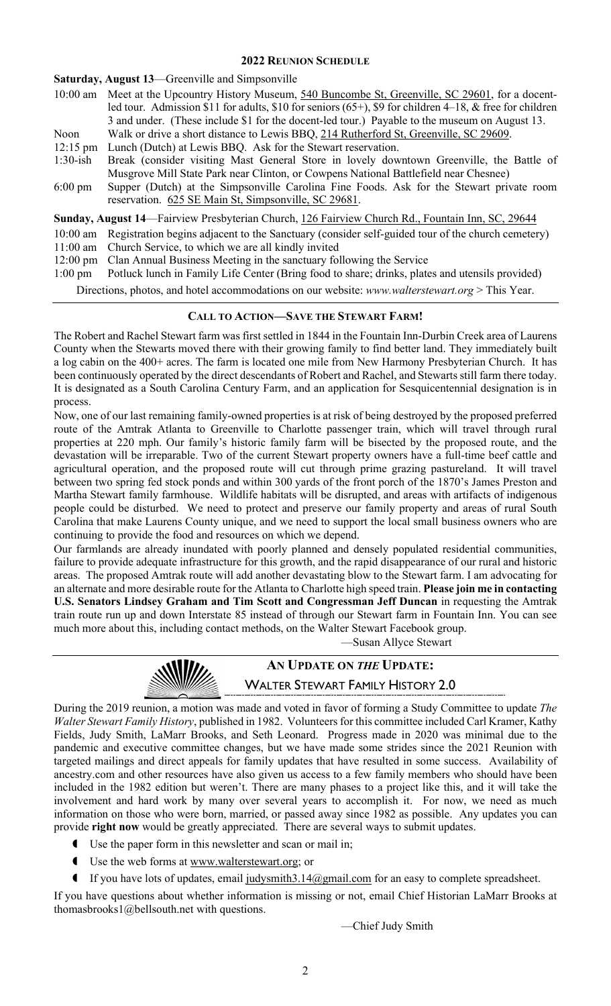## **2022 REUNION SCHEDULE**

**Saturday, August 13**—Greenville and Simpsonville

- 10:00 am Meet at the Upcountry History Museum, 540 Buncombe St, Greenville, SC 29601, for a docentled tour. Admission \$11 for adults, \$10 for seniors (65+), \$9 for children 4–18, & free for children 3 and under. (These include \$1 for the docent-led tour.) Payable to the museum on August 13. Noon Walk or drive a short distance to Lewis BBQ, 214 Rutherford St, Greenville, SC 29609. 12:15 pm Lunch (Dutch) at Lewis BBQ. Ask for the Stewart reservation. 1:30-ish Break (consider visiting Mast General Store in lovely downtown Greenville, the Battle of Musgrove Mill State Park near Clinton, or Cowpens National Battlefield near Chesnee) 6:00 pm Supper (Dutch) at the Simpsonville Carolina Fine Foods. Ask for the Stewart private room reservation. 625 SE Main St, Simpsonville, SC 29681. **Sunday, August 14**—Fairview Presbyterian Church, 126 Fairview Church Rd., Fountain Inn, SC, 29644 10:00 am Registration begins adjacent to the Sanctuary (consider self-guided tour of the church cemetery)
- 11:00 am Church Service, to which we are all kindly invited
- 12:00 pm Clan Annual Business Meeting in the sanctuary following the Service
- 1:00 pm Potluck lunch in Family Life Center (Bring food to share; drinks, plates and utensils provided)

Directions, photos, and hotel accommodations on our website: *www.walterstewart.org* > This Year.

## **CALL TO ACTION—SAVE THE STEWART FARM!**

The Robert and Rachel Stewart farm was first settled in 1844 in the Fountain Inn-Durbin Creek area of Laurens County when the Stewarts moved there with their growing family to find better land. They immediately built a log cabin on the 400+ acres. The farm is located one mile from New Harmony Presbyterian Church. It has been continuously operated by the direct descendants of Robert and Rachel, and Stewarts still farm there today. It is designated as a South Carolina Century Farm, and an application for Sesquicentennial designation is in process.

Now, one of our last remaining family-owned properties is at risk of being destroyed by the proposed preferred route of the Amtrak Atlanta to Greenville to Charlotte passenger train, which will travel through rural properties at 220 mph. Our family's historic family farm will be bisected by the proposed route, and the devastation will be irreparable. Two of the current Stewart property owners have a full-time beef cattle and agricultural operation, and the proposed route will cut through prime grazing pastureland. It will travel between two spring fed stock ponds and within 300 yards of the front porch of the 1870's James Preston and Martha Stewart family farmhouse. Wildlife habitats will be disrupted, and areas with artifacts of indigenous people could be disturbed. We need to protect and preserve our family property and areas of rural South Carolina that make Laurens County unique, and we need to support the local small business owners who are continuing to provide the food and resources on which we depend.

Our farmlands are already inundated with poorly planned and densely populated residential communities, failure to provide adequate infrastructure for this growth, and the rapid disappearance of our rural and historic areas. The proposed Amtrak route will add another devastating blow to the Stewart farm. I am advocating for an alternate and more desirable route for the Atlanta to Charlotte high speed train. **Please join me in contacting U.S. Senators Lindsey Graham and Tim Scott and Congressman Jeff Duncan** in requesting the Amtrak train route run up and down Interstate 85 instead of through our Stewart farm in Fountain Inn. You can see much more about this, including contact methods, on the Walter Stewart Facebook group.

—Susan Allyce Stewart



# **AN UPDATE ON** *THE* **UPDATE:** WALTER STEWART FAMILY HISTORY 2.0

During the 2019 reunion, a motion was made and voted in favor of forming a Study Committee to update *The Walter Stewart Family History*, published in 1982. Volunteers for this committee included Carl Kramer, Kathy Fields, Judy Smith, LaMarr Brooks, and Seth Leonard. Progress made in 2020 was minimal due to the pandemic and executive committee changes, but we have made some strides since the 2021 Reunion with targeted mailings and direct appeals for family updates that have resulted in some success. Availability of ancestry.com and other resources have also given us access to a few family members who should have been included in the 1982 edition but weren't. There are many phases to a project like this, and it will take the involvement and hard work by many over several years to accomplish it. For now, we need as much information on those who were born, married, or passed away since 1982 as possible. Any updates you can provide **right now** would be greatly appreciated. There are several ways to submit updates.

- Use the paper form in this newsletter and scan or mail in;
- Use the web forms at [www.walterstewart.org;](http://www.walterstewart.org/) or
- If you have lots of updates, email [judysmith3.14@gmail.com](mailto:judysmith3.14@gmail.com) for an easy to complete spreadsheet.

If you have questions about whether information is missing or not, email [Chief](mailto:linclark@homesc.com) Historian LaMarr Brooks at thomasbrooks1@bellsouth.net with questions.

—Chief Judy Smith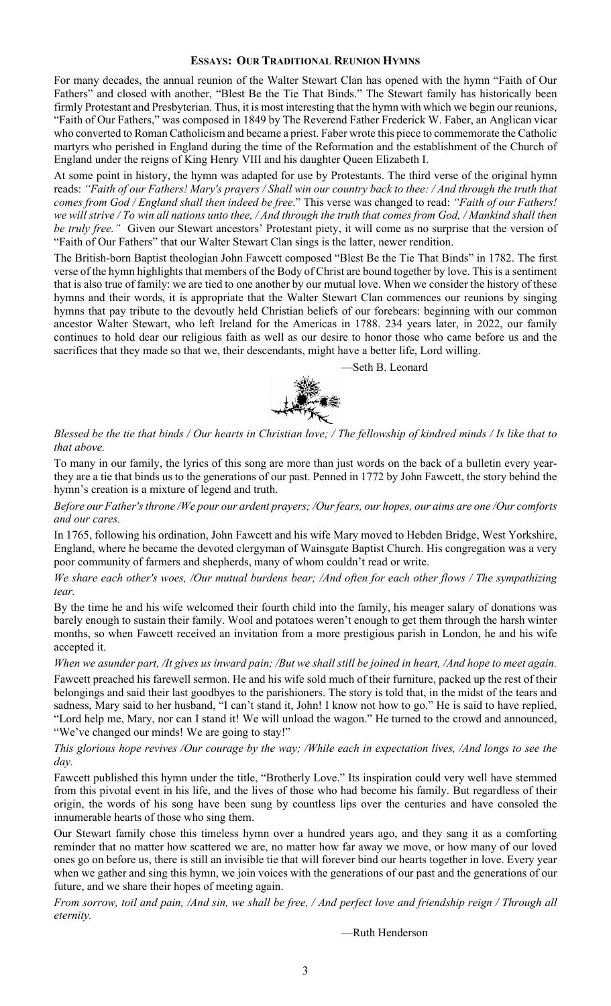## **ESSAYS: OUR TRADITIONAL REUNION HYMNS**

For many decades, the annual reunion of the Walter Stewart Clan has opened with the hymn "Faith of Our Fathers" and closed with another, "Blest Be the Tie That Binds." The Stewart family has historically been firmly Protestant and Presbyterian. Thus, it is most interesting that the hymn with which we begin our reunions, "Faith of Our Fathers," was composed in 1849 by The Reverend Father Frederick W. Faber, an Anglican vicar who converted to Roman Catholicism and became a priest. Faber wrote this piece to commemorate the Catholic martyrs who perished in England during the time of the Reformation and the establishment of the Church of England under the reigns of King Henry VIII and his daughter Queen Elizabeth I.

At some point in history, the hymn was adapted for use by Protestants. The third verse of the original hymn reads: *"Faith of our Fathers! Mary's prayers / Shall win our country back to thee: / And through the truth that comes from God / England shall then indeed be free*." This verse was changed to read: *"Faith of our Fathers! we will strive / To win all nations unto thee, / And through the truth that comes from God, / Mankind shall then be truly free."* Given our Stewart ancestors' Protestant piety, it will come as no surprise that the version of "Faith of Our Fathers" that our Walter Stewart Clan sings is the latter, newer rendition.

The British-born Baptist theologian John Fawcett composed "Blest Be the Tie That Binds" in 1782. The first verse of the hymn highlights that members of the Body of Christ are bound together by love. This is a sentiment that is also true of family: we are tied to one another by our mutual love. When we consider the history of these hymns and their words, it is appropriate that the Walter Stewart Clan commences our reunions by singing hymns that pay tribute to the devoutly held Christian beliefs of our forebears: beginning with our common ancestor Walter Stewart, who left Ireland for the Americas in 1788. 234 years later, in 2022, our family continues to hold dear our religious faith as well as our desire to honor those who came before us and the sacrifices that they made so that we, their descendants, might have a better life, Lord willing.

—Seth B. Leonard



*Blessed be the tie that binds / Our hearts in Christian love; / The fellowship of kindred minds / Is like that to that above.* 

To many in our family, the lyrics of this song are more than just words on the back of a bulletin every yearthey are a tie that binds us to the generations of our past. Penned in 1772 by John Fawcett, the story behind the hymn's creation is a mixture of legend and truth.

*Before our Father's throne /We pour our ardent prayers; /Our fears, our hopes, our aims are one /Our comforts and our cares.* 

In 1765, following his ordination, John Fawcett and his wife Mary moved to Hebden Bridge, West Yorkshire, England, where he became the devoted clergyman of Wainsgate Baptist Church. His congregation was a very poor community of farmers and shepherds, many of whom couldn't read or write.

*We share each other's woes, /Our mutual burdens bear; /And often for each other flows / The sympathizing tear.*

By the time he and his wife welcomed their fourth child into the family, his meager salary of donations was barely enough to sustain their family. Wool and potatoes weren't enough to get them through the harsh winter months, so when Fawcett received an invitation from a more prestigious parish in London, he and his wife accepted it.

*When we asunder part, /It gives us inward pain; /But we shall still be joined in heart, /And hope to meet again.*

Fawcett preached his farewell sermon. He and his wife sold much of their furniture, packed up the rest of their belongings and said their last goodbyes to the parishioners. The story is told that, in the midst of the tears and sadness, Mary said to her husband, "I can't stand it, John! I know not how to go." He is said to have replied, "Lord help me, Mary, nor can I stand it! We will unload the wagon." He turned to the crowd and announced, "We've changed our minds! We are going to stay!"

*This glorious hope revives /Our courage by the way; /While each in expectation lives, /And longs to see the day.* 

Fawcett published this hymn under the title, "Brotherly Love." Its inspiration could very well have stemmed from this pivotal event in his life, and the lives of those who had become his family. But regardless of their origin, the words of his song have been sung by countless lips over the centuries and have consoled the innumerable hearts of those who sing them.

Our Stewart family chose this timeless hymn over a hundred years ago, and they sang it as a comforting reminder that no matter how scattered we are, no matter how far away we move, or how many of our loved ones go on before us, there is still an invisible tie that will forever bind our hearts together in love. Every year when we gather and sing this hymn, we join voices with the generations of our past and the generations of our future, and we share their hopes of meeting again.

*From sorrow, toil and pain, /And sin, we shall be free, / And perfect love and friendship reign / Through all eternity.*

—Ruth Henderson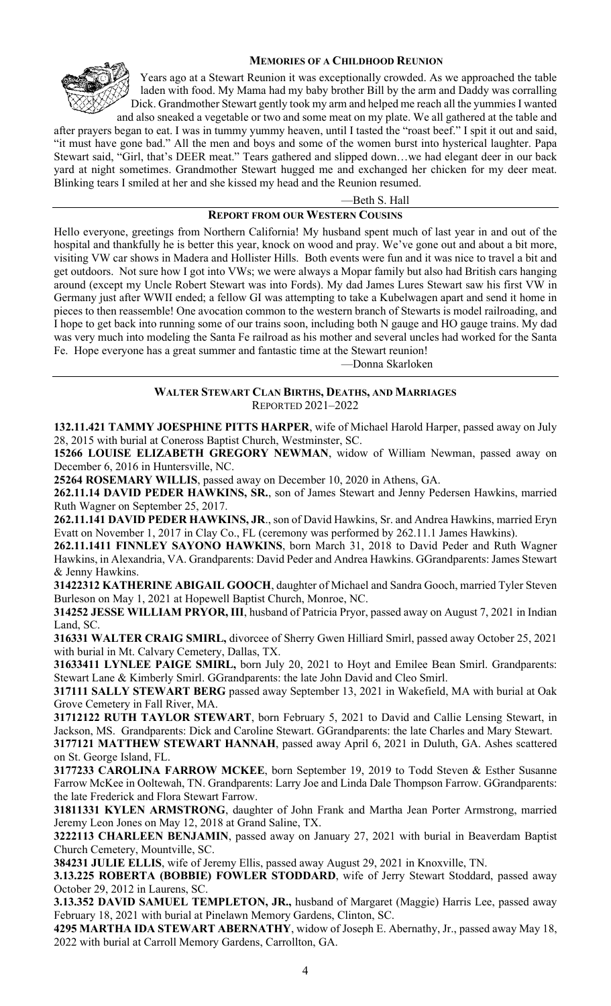

## **MEMORIES OF A CHILDHOOD REUNION**

Years ago at a Stewart Reunion it was exceptionally crowded. As we approached the table laden with food. My Mama had my baby brother Bill by the arm and Daddy was corralling Dick. Grandmother Stewart gently took my arm and helped me reach all the yummies I wanted

and also sneaked a vegetable or two and some meat on my plate. We all gathered at the table and after prayers began to eat. I was in tummy yummy heaven, until I tasted the "roast beef." I spit it out and said, "it must have gone bad." All the men and boys and some of the women burst into hysterical laughter. Papa Stewart said, "Girl, that's DEER meat." Tears gathered and slipped down…we had elegant deer in our back yard at night sometimes. Grandmother Stewart hugged me and exchanged her chicken for my deer meat. Blinking tears I smiled at her and she kissed my head and the Reunion resumed.

—Beth S. Hall

### **REPORT FROM OUR WESTERN COUSINS**

Hello everyone, greetings from Northern California! My husband spent much of last year in and out of the hospital and thankfully he is better this year, knock on wood and pray. We've gone out and about a bit more, visiting VW car shows in Madera and Hollister Hills. Both events were fun and it was nice to travel a bit and get outdoors. Not sure how I got into VWs; we were always a Mopar family but also had British cars hanging around (except my Uncle Robert Stewart was into Fords). My dad James Lures Stewart saw his first VW in Germany just after WWII ended; a fellow GI was attempting to take a Kubelwagen apart and send it home in pieces to then reassemble! One avocation common to the western branch of Stewarts is model railroading, and I hope to get back into running some of our trains soon, including both N gauge and HO gauge trains. My dad was very much into modeling the Santa Fe railroad as his mother and several uncles had worked for the Santa Fe. Hope everyone has a great summer and fantastic time at the Stewart reunion!

—Donna Skarloken

### **WALTER STEWART CLAN BIRTHS, DEATHS, AND MARRIAGES** REPORTED 2021–2022

**132.11.421 TAMMY JOESPHINE PITTS HARPER**, wife of Michael Harold Harper, passed away on July 28, 2015 with burial at Coneross Baptist Church, Westminster, SC.

**15266 LOUISE ELIZABETH GREGORY NEWMAN**, widow of William Newman, passed away on December 6, 2016 in Huntersville, NC.

**25264 ROSEMARY WILLIS**, passed away on December 10, 2020 in Athens, GA.

**262.11.14 DAVID PEDER HAWKINS, SR.**, son of James Stewart and Jenny Pedersen Hawkins, married Ruth Wagner on September 25, 2017.

**262.11.141 DAVID PEDER HAWKINS, JR**., son of David Hawkins, Sr. and Andrea Hawkins, married Eryn Evatt on November 1, 2017 in Clay Co., FL (ceremony was performed by 262.11.1 James Hawkins).

**262.11.1411 FINNLEY SAYONO HAWKINS**, born March 31, 2018 to David Peder and Ruth Wagner Hawkins, in Alexandria, VA. Grandparents: David Peder and Andrea Hawkins. GGrandparents: James Stewart & Jenny Hawkins.

**31422312 KATHERINE ABIGAIL GOOCH**, daughter of Michael and Sandra Gooch, married Tyler Steven Burleson on May 1, 2021 at Hopewell Baptist Church, Monroe, NC.

**314252 JESSE WILLIAM PRYOR, III**, husband of Patricia Pryor, passed away on August 7, 2021 in Indian Land, SC.

**316331 WALTER CRAIG SMIRL,** divorcee of Sherry Gwen Hilliard Smirl, passed away October 25, 2021 with burial in Mt. Calvary Cemetery, Dallas, TX.

**31633411 LYNLEE PAIGE SMIRL,** born July 20, 2021 to Hoyt and Emilee Bean Smirl. Grandparents: Stewart Lane & Kimberly Smirl. GGrandparents: the late John David and Cleo Smirl.

**317111 SALLY STEWART BERG** passed away September 13, 2021 in Wakefield, MA with burial at Oak Grove Cemetery in Fall River, MA.

**31712122 RUTH TAYLOR STEWART**, born February 5, 2021 to David and Callie Lensing Stewart, in Jackson, MS. Grandparents: Dick and Caroline Stewart. GGrandparents: the late Charles and Mary Stewart.

**3177121 MATTHEW STEWART HANNAH**, passed away April 6, 2021 in Duluth, GA. Ashes scattered on St. George Island, FL.

**3177233 CAROLINA FARROW MCKEE**, born September 19, 2019 to Todd Steven & Esther Susanne Farrow McKee in Ooltewah, TN. Grandparents: Larry Joe and Linda Dale Thompson Farrow. GGrandparents: the late Frederick and Flora Stewart Farrow.

**31811331 KYLEN ARMSTRONG**, daughter of John Frank and Martha Jean Porter Armstrong, married Jeremy Leon Jones on May 12, 2018 at Grand Saline, TX.

**3222113 CHARLEEN BENJAMIN**, passed away on January 27, 2021 with burial in Beaverdam Baptist Church Cemetery, Mountville, SC.

**384231 JULIE ELLIS**, wife of Jeremy Ellis, passed away August 29, 2021 in Knoxville, TN.

**3.13.225 ROBERTA (BOBBIE) FOWLER STODDARD**, wife of Jerry Stewart Stoddard, passed away October 29, 2012 in Laurens, SC.

**3.13.352 DAVID SAMUEL TEMPLETON, JR.,** husband of Margaret (Maggie) Harris Lee, passed away February 18, 2021 with burial at Pinelawn Memory Gardens, Clinton, SC.

**4295 MARTHA IDA STEWART ABERNATHY**, widow of Joseph E. Abernathy, Jr., passed away May 18, 2022 with burial at Carroll Memory Gardens, Carrollton, GA.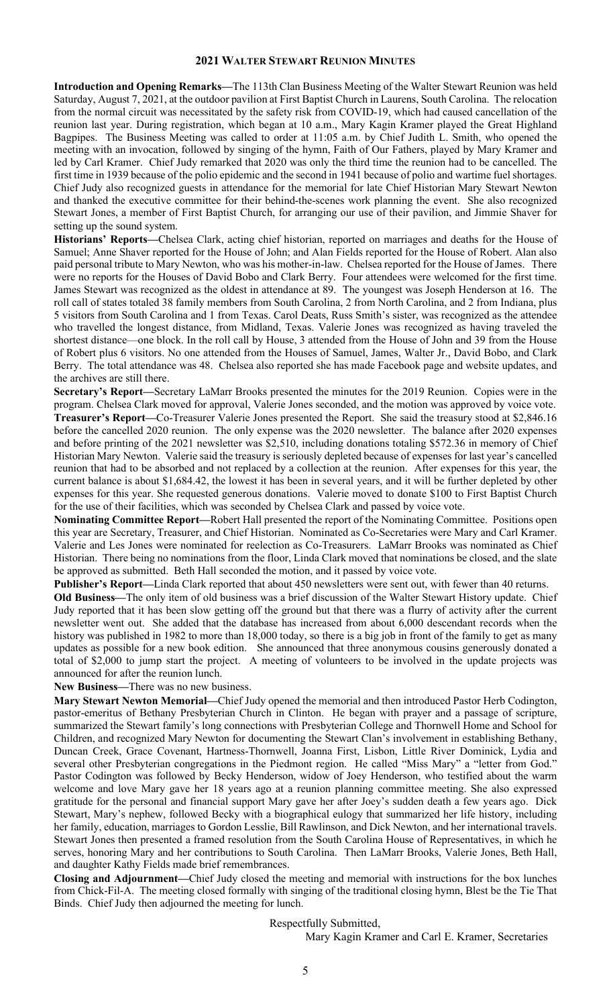#### **2021 WALTER STEWART REUNION MINUTES**

**Introduction and Opening Remarks—**The 113th Clan Business Meeting of the Walter Stewart Reunion was held Saturday, August 7, 2021, at the outdoor pavilion at First Baptist Church in Laurens, South Carolina. The relocation from the normal circuit was necessitated by the safety risk from COVID-19, which had caused cancellation of the reunion last year. During registration, which began at 10 a.m., Mary Kagin Kramer played the Great Highland Bagpipes. The Business Meeting was called to order at 11:05 a.m. by Chief Judith L. Smith, who opened the meeting with an invocation, followed by singing of the hymn, Faith of Our Fathers, played by Mary Kramer and led by Carl Kramer. Chief Judy remarked that 2020 was only the third time the reunion had to be cancelled. The first time in 1939 because of the polio epidemic and the second in 1941 because of polio and wartime fuel shortages. Chief Judy also recognized guests in attendance for the memorial for late Chief Historian Mary Stewart Newton and thanked the executive committee for their behind-the-scenes work planning the event. She also recognized Stewart Jones, a member of First Baptist Church, for arranging our use of their pavilion, and Jimmie Shaver for setting up the sound system.

**Historians' Reports—**Chelsea Clark, acting chief historian, reported on marriages and deaths for the House of Samuel; Anne Shaver reported for the House of John; and Alan Fields reported for the House of Robert. Alan also paid personal tribute to Mary Newton, who was his mother-in-law. Chelsea reported for the House of James. There were no reports for the Houses of David Bobo and Clark Berry. Four attendees were welcomed for the first time. James Stewart was recognized as the oldest in attendance at 89. The youngest was Joseph Henderson at 16. The roll call of states totaled 38 family members from South Carolina, 2 from North Carolina, and 2 from Indiana, plus 5 visitors from South Carolina and 1 from Texas. Carol Deats, Russ Smith's sister, was recognized as the attendee who travelled the longest distance, from Midland, Texas. Valerie Jones was recognized as having traveled the shortest distance—one block. In the roll call by House, 3 attended from the House of John and 39 from the House of Robert plus 6 visitors. No one attended from the Houses of Samuel, James, Walter Jr., David Bobo, and Clark Berry. The total attendance was 48. Chelsea also reported she has made Facebook page and website updates, and the archives are still there.

**Secretary's Report—**Secretary LaMarr Brooks presented the minutes for the 2019 Reunion. Copies were in the program. Chelsea Clark moved for approval, Valerie Jones seconded, and the motion was approved by voice vote. **Treasurer's Report—**Co-Treasurer Valerie Jones presented the Report. She said the treasury stood at \$2,846.16 before the cancelled 2020 reunion. The only expense was the 2020 newsletter. The balance after 2020 expenses and before printing of the 2021 newsletter was \$2,510, including donations totaling \$572.36 in memory of Chief Historian Mary Newton. Valerie said the treasury is seriously depleted because of expenses for last year's cancelled reunion that had to be absorbed and not replaced by a collection at the reunion. After expenses for this year, the current balance is about \$1,684.42, the lowest it has been in several years, and it will be further depleted by other expenses for this year. She requested generous donations. Valerie moved to donate \$100 to First Baptist Church for the use of their facilities, which was seconded by Chelsea Clark and passed by voice vote.

**Nominating Committee Report—**Robert Hall presented the report of the Nominating Committee. Positions open this year are Secretary, Treasurer, and Chief Historian. Nominated as Co-Secretaries were Mary and Carl Kramer. Valerie and Les Jones were nominated for reelection as Co-Treasurers. LaMarr Brooks was nominated as Chief Historian. There being no nominations from the floor, Linda Clark moved that nominations be closed, and the slate be approved as submitted. Beth Hall seconded the motion, and it passed by voice vote.

**Publisher's Report—**Linda Clark reported that about 450 newsletters were sent out, with fewer than 40 returns.

**Old Business—**The only item of old business was a brief discussion of the Walter Stewart History update. Chief Judy reported that it has been slow getting off the ground but that there was a flurry of activity after the current newsletter went out. She added that the database has increased from about 6,000 descendant records when the history was published in 1982 to more than 18,000 today, so there is a big job in front of the family to get as many updates as possible for a new book edition. She announced that three anonymous cousins generously donated a total of \$2,000 to jump start the project. A meeting of volunteers to be involved in the update projects was announced for after the reunion lunch.

**New Business—**There was no new business.

**Mary Stewart Newton Memorial—**Chief Judy opened the memorial and then introduced Pastor Herb Codington, pastor-emeritus of Bethany Presbyterian Church in Clinton. He began with prayer and a passage of scripture, summarized the Stewart family's long connections with Presbyterian College and Thornwell Home and School for Children, and recognized Mary Newton for documenting the Stewart Clan's involvement in establishing Bethany, Duncan Creek, Grace Covenant, Hartness-Thornwell, Joanna First, Lisbon, Little River Dominick, Lydia and several other Presbyterian congregations in the Piedmont region. He called "Miss Mary" a "letter from God." Pastor Codington was followed by Becky Henderson, widow of Joey Henderson, who testified about the warm welcome and love Mary gave her 18 years ago at a reunion planning committee meeting. She also expressed gratitude for the personal and financial support Mary gave her after Joey's sudden death a few years ago. Dick Stewart, Mary's nephew, followed Becky with a biographical eulogy that summarized her life history, including her family, education, marriages to Gordon Lesslie, Bill Rawlinson, and Dick Newton, and her international travels. Stewart Jones then presented a framed resolution from the South Carolina House of Representatives, in which he serves, honoring Mary and her contributions to South Carolina. Then LaMarr Brooks, Valerie Jones, Beth Hall, and daughter Kathy Fields made brief remembrances.

**Closing and Adjournment—**Chief Judy closed the meeting and memorial with instructions for the box lunches from Chick-Fil-A. The meeting closed formally with singing of the traditional closing hymn, Blest be the Tie That Binds. Chief Judy then adjourned the meeting for lunch.

#### Respectfully Submitted,

Mary Kagin Kramer and Carl E. Kramer, Secretaries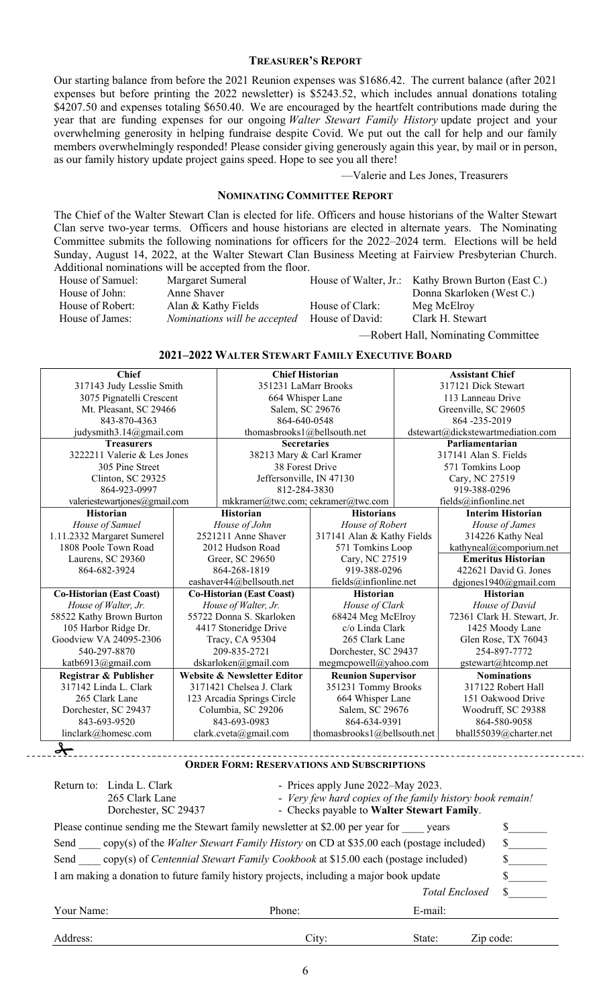## **TREASURER'S REPORT**

Our starting balance from before the 2021 Reunion expenses was \$1686.42. The current balance (after 2021 expenses but before printing the 2022 newsletter) is \$5243.52, which includes annual donations totaling \$4207.50 and expenses totaling \$650.40. We are encouraged by the heartfelt contributions made during the year that are funding expenses for our ongoing *Walter Stewart Family History* update project and your overwhelming generosity in helping fundraise despite Covid. We put out the call for help and our family members overwhelmingly responded! Please consider giving generously again this year, by mail or in person, as our family history update project gains speed. Hope to see you all there!

#### —Valerie and Les Jones, Treasurers

### **NOMINATING COMMITTEE REPORT**

The Chief of the Walter Stewart Clan is elected for life. Officers and house historians of the Walter Stewart Clan serve two-year terms. Officers and house historians are elected in alternate years. The Nominating Committee submits the following nominations for officers for the 2022–2024 term. Elections will be held Sunday, August 14, 2022, at the Walter Stewart Clan Business Meeting at Fairview Presbyterian Church. Additional nominations will be accepted from the floor.

| House of Samuel: | Margaret Sumeral                                    |                 | House of Walter, Jr.: Kathy Brown Burton (East C.) |
|------------------|-----------------------------------------------------|-----------------|----------------------------------------------------|
| House of John:   | Anne Shaver                                         |                 | Donna Skarloken (West C.)                          |
| House of Robert: | Alan & Kathy Fields                                 | House of Clark: | Meg McElroy                                        |
| House of James:  | <i>Nominations will be accepted</i> House of David: |                 | Clark H. Stewart                                   |
|                  |                                                     |                 |                                                    |

—Robert Hall, Nominating Committee

#### **2021–2022 WALTER STEWART FAMILY EXECUTIVE BOARD**

| <b>Chief</b>                     |                          | <b>Chief Historian</b>                            |                             | <b>Assistant Chief</b>            |                             |  |
|----------------------------------|--------------------------|---------------------------------------------------|-----------------------------|-----------------------------------|-----------------------------|--|
| 317143 Judy Lesslie Smith        |                          | 351231 LaMarr Brooks                              |                             | 317121 Dick Stewart               |                             |  |
| 3075 Pignatelli Crescent         |                          | 664 Whisper Lane                                  |                             | 113 Lanneau Drive                 |                             |  |
| Mt. Pleasant, SC 29466           |                          | Salem, SC 29676                                   |                             | Greenville, SC 29605              |                             |  |
| 843-870-4363                     |                          | 864-640-0548                                      |                             | 864-235-2019                      |                             |  |
| judysmith3.14@gmail.com          |                          | thomasbrooks1@bellsouth.net                       |                             | dstewart@dickstewartmediation.com |                             |  |
| <b>Treasurers</b>                |                          | <b>Secretaries</b>                                |                             | Parliamentarian                   |                             |  |
| 3222211 Valerie & Les Jones      |                          | 38213 Mary & Carl Kramer                          |                             | 317141 Alan S. Fields             |                             |  |
| 305 Pine Street                  |                          | 38 Forest Drive                                   |                             | 571 Tomkins Loop                  |                             |  |
| Clinton, SC 29325                |                          | Jeffersonville, IN 47130                          |                             | Cary, NC 27519                    |                             |  |
| 864-923-0997                     |                          |                                                   | 812-284-3830                |                                   | 919-388-0296                |  |
| valeriestewartjones@gmail.com    |                          | mkkramer@twc.com; cekramer@twc.com                |                             |                                   | fields@infionline.net       |  |
| <b>Historian</b>                 |                          | <b>Historian</b>                                  | <b>Historians</b>           |                                   | <b>Interim Historian</b>    |  |
| House of Samuel                  |                          | House of John                                     | House of Robert             |                                   | House of James              |  |
| 1.11.2332 Margaret Sumerel       |                          | 2521211 Anne Shaver                               | 317141 Alan & Kathy Fields  |                                   | 314226 Kathy Neal           |  |
| 1808 Poole Town Road             |                          | 2012 Hudson Road                                  | 571 Tomkins Loop            |                                   | kathyneal@comporium.net     |  |
| Laurens, SC 29360                | Greer, SC 29650          |                                                   | Cary, NC 27519              |                                   | <b>Emeritus Historian</b>   |  |
| 864-682-3924                     |                          | 864-268-1819                                      | 919-388-0296                |                                   | 422621 David G. Jones       |  |
|                                  |                          | eashaver44@bellsouth.net<br>fields@infionline.net |                             |                                   | dgjones1940@gmail.com       |  |
| <b>Co-Historian (East Coast)</b> |                          | <b>Co-Historian (East Coast)</b>                  | Historian                   |                                   | <b>Historian</b>            |  |
| House of Walter, Jr.             |                          | House of Walter, Jr.                              | House of Clark              |                                   | House of David              |  |
| 58522 Kathy Brown Burton         | 55722 Donna S. Skarloken |                                                   | 68424 Meg McElroy           |                                   | 72361 Clark H. Stewart, Jr. |  |
| 105 Harbor Ridge Dr.             |                          | 4417 Stoneridge Drive                             | c/o Linda Clark             |                                   | 1425 Moody Lane             |  |
| Goodview VA 24095-2306           | Tracy, CA 95304          |                                                   | 265 Clark Lane              |                                   | Glen Rose, TX 76043         |  |
| 540-297-8870                     | 209-835-2721             |                                                   | Dorchester, SC 29437        |                                   | 254-897-7772                |  |
| katb6913@gmail.com               |                          | dskarloken@gmail.com                              | megmcpowell@yahoo.com       |                                   | gstewart@htcomp.net         |  |
| Registrar & Publisher            |                          | <b>Website &amp; Newsletter Editor</b>            | <b>Reunion Supervisor</b>   |                                   | <b>Nominations</b>          |  |
| 317142 Linda L. Clark            |                          | 3171421 Chelsea J. Clark                          | 351231 Tommy Brooks         |                                   | 317122 Robert Hall          |  |
| 265 Clark Lane                   |                          | 123 Arcadia Springs Circle                        | 664 Whisper Lane            |                                   | 151 Oakwood Drive           |  |
| Dorchester, SC 29437             |                          | Columbia, SC 29206                                | Salem, SC 29676             |                                   | Woodruff, SC 29388          |  |
| 843-693-9520                     |                          | 843-693-0983                                      | 864-634-9391                |                                   | 864-580-9058                |  |
| linclark@homesc.com              |                          | clark.cveta@gmail.com                             | thomasbrooks1@bellsouth.net |                                   | bhall55039@charter.net      |  |
| y                                |                          |                                                   |                             |                                   |                             |  |

**ORDER FORM: RESERVATIONS AND SUBSCRIPTIONS**

| Return to: | Linda L. Clark<br>265 Clark Lane<br>Dorchester, SC 29437                                     |        | - Prices apply June 2022–May 2023.<br>- Very few hard copies of the family history book remain!<br>- Checks payable to Walter Stewart Family. |  |  |  |  |
|------------|----------------------------------------------------------------------------------------------|--------|-----------------------------------------------------------------------------------------------------------------------------------------------|--|--|--|--|
|            | Please continue sending me the Stewart family newsletter at \$2.00 per year for years        |        |                                                                                                                                               |  |  |  |  |
| Send       | copy(s) of the <i>Walter Stewart Family History</i> on CD at \$35.00 each (postage included) |        |                                                                                                                                               |  |  |  |  |
| Send       | copy(s) of <i>Centennial Stewart Family Cookbook</i> at \$15.00 each (postage included)      |        |                                                                                                                                               |  |  |  |  |
|            | I am making a donation to future family history projects, including a major book update      |        |                                                                                                                                               |  |  |  |  |
|            |                                                                                              |        | <b>Total Enclosed</b>                                                                                                                         |  |  |  |  |
| Your Name: |                                                                                              | Phone: | E-mail:                                                                                                                                       |  |  |  |  |
| Address:   |                                                                                              | City:  | State:<br>Zip code:                                                                                                                           |  |  |  |  |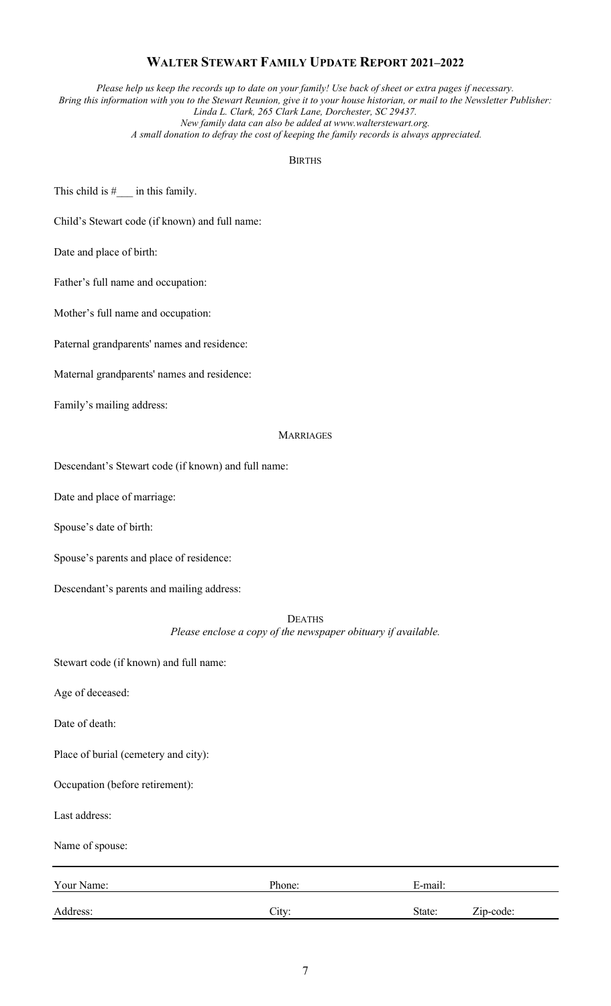# **WALTER STEWART FAMILY UPDATE REPORT 2021–2022**

*Please help us keep the records up to date on your family! Use back of sheet or extra pages if necessary. Bring this information with you to the Stewart Reunion, give it to your house historian, or mail to the Newsletter Publisher: Linda L. Clark, 265 Clark Lane, Dorchester, SC 29437. New family data can also be added at www.walterstewart.org.*

*A small donation to defray the cost of keeping the family records is always appreciated.*

#### BIRTHS

This child is  $#$  in this family.

Child's Stewart code (if known) and full name:

Date and place of birth:

Father's full name and occupation:

Mother's full name and occupation:

Paternal grandparents' names and residence:

Maternal grandparents' names and residence:

Family's mailing address:

#### MARRIAGES

Descendant's Stewart code (if known) and full name:

Date and place of marriage:

Spouse's date of birth:

Spouse's parents and place of residence:

Descendant's parents and mailing address:

DEATHS

*Please enclose a copy of the newspaper obituary if available.*

Stewart code (if known) and full name:

Age of deceased:

Date of death:

Place of burial (cemetery and city):

Occupation (before retirement):

Last address:

Name of spouse:

| Your Name: | Phone: | E-mail: |             |  |
|------------|--------|---------|-------------|--|
| Address:   | City:  | State:  | $Zip-code:$ |  |